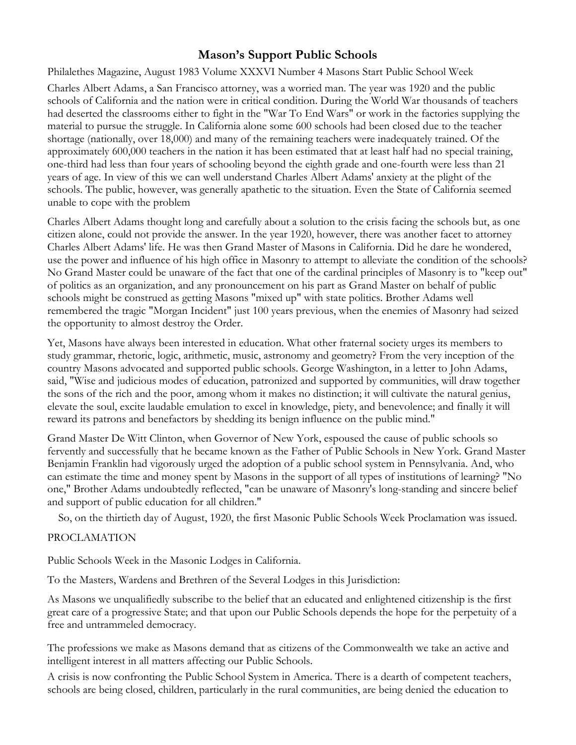## **Mason's Support Public Schools**

Philalethes Magazine, August 1983 Volume XXXVI Number 4 Masons Start Public School Week

Charles Albert Adams, a San Francisco attorney, was a worried man. The year was 1920 and the public schools of California and the nation were in critical condition. During the World War thousands of teachers had deserted the classrooms either to fight in the "War To End Wars" or work in the factories supplying the material to pursue the struggle. In California alone some 600 schools had been closed due to the teacher shortage (nationally, over 18,000) and many of the remaining teachers were inadequately trained. Of the approximately 600,000 teachers in the nation it has been estimated that at least half had no special training, one-third had less than four years of schooling beyond the eighth grade and one-fourth were less than 21 years of age. In view of this we can well understand Charles Albert Adams' anxiety at the plight of the schools. The public, however, was generally apathetic to the situation. Even the State of California seemed unable to cope with the problem

Charles Albert Adams thought long and carefully about a solution to the crisis facing the schools but, as one citizen alone, could not provide the answer. In the year 1920, however, there was another facet to attorney Charles Albert Adams' life. He was then Grand Master of Masons in California. Did he dare he wondered, use the power and influence of his high office in Masonry to attempt to alleviate the condition of the schools? No Grand Master could be unaware of the fact that one of the cardinal principles of Masonry is to "keep out" of politics as an organization, and any pronouncement on his part as Grand Master on behalf of public schools might be construed as getting Masons "mixed up" with state politics. Brother Adams well remembered the tragic "Morgan Incident" just 100 years previous, when the enemies of Masonry had seized the opportunity to almost destroy the Order.

Yet, Masons have always been interested in education. What other fraternal society urges its members to study grammar, rhetoric, logic, arithmetic, music, astronomy and geometry? From the very inception of the country Masons advocated and supported public schools. George Washington, in a letter to John Adams, said, "Wise and judicious modes of education, patronized and supported by communities, will draw together the sons of the rich and the poor, among whom it makes no distinction; it will cultivate the natural genius, elevate the soul, excite laudable emulation to excel in knowledge, piety, and benevolence; and finally it will reward its patrons and benefactors by shedding its benign influence on the public mind."

Grand Master De Witt Clinton, when Governor of New York, espoused the cause of public schools so fervently and successfully that he became known as the Father of Public Schools in New York. Grand Master Benjamin Franklin had vigorously urged the adoption of a public school system in Pennsylvania. And, who can estimate the time and money spent by Masons in the support of all types of institutions of learning? "No one," Brother Adams undoubtedly reflected, "can be unaware of Masonry's long-standing and sincere belief and support of public education for all children."

So, on the thirtieth day of August, 1920, the first Masonic Public Schools Week Proclamation was issued.

## PROCLAMATION

Public Schools Week in the Masonic Lodges in California.

To the Masters, Wardens and Brethren of the Several Lodges in this Jurisdiction:

As Masons we unqualifiedly subscribe to the belief that an educated and enlightened citizenship is the first great care of a progressive State; and that upon our Public Schools depends the hope for the perpetuity of a free and untrammeled democracy.

The professions we make as Masons demand that as citizens of the Commonwealth we take an active and intelligent interest in all matters affecting our Public Schools.

A crisis is now confronting the Public School System in America. There is a dearth of competent teachers, schools are being closed, children, particularly in the rural communities, are being denied the education to